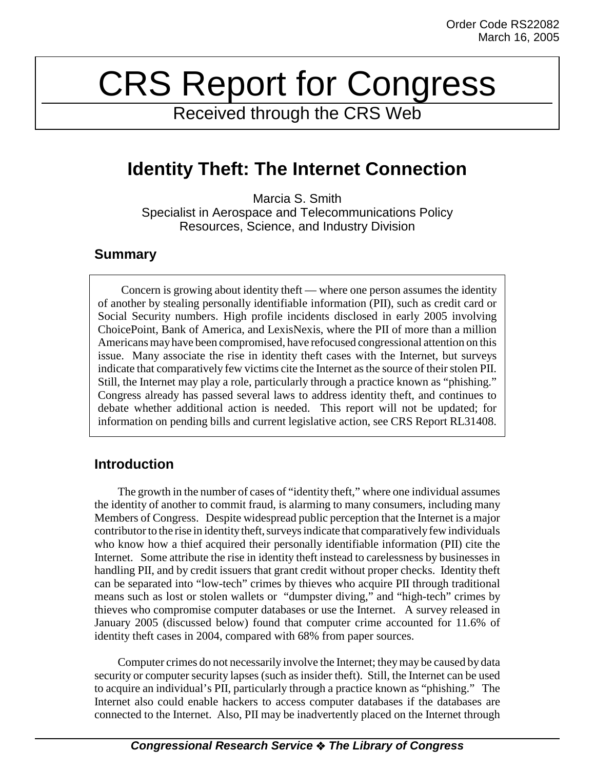# CRS Report for Congress

Received through the CRS Web

## **Identity Theft: The Internet Connection**

Marcia S. Smith Specialist in Aerospace and Telecommunications Policy Resources, Science, and Industry Division

#### **Summary**

Concern is growing about identity theft — where one person assumes the identity of another by stealing personally identifiable information (PII), such as credit card or Social Security numbers. High profile incidents disclosed in early 2005 involving ChoicePoint, Bank of America, and LexisNexis, where the PII of more than a million Americans may have been compromised, have refocused congressional attention on this issue. Many associate the rise in identity theft cases with the Internet, but surveys indicate that comparatively few victims cite the Internet as the source of their stolen PII. Still, the Internet may play a role, particularly through a practice known as "phishing." Congress already has passed several laws to address identity theft, and continues to debate whether additional action is needed. This report will not be updated; for information on pending bills and current legislative action, see CRS Report RL31408.

### **Introduction**

The growth in the number of cases of "identity theft," where one individual assumes the identity of another to commit fraud, is alarming to many consumers, including many Members of Congress. Despite widespread public perception that the Internet is a major contributor to the rise in identity theft, surveys indicate that comparatively few individuals who know how a thief acquired their personally identifiable information (PII) cite the Internet. Some attribute the rise in identity theft instead to carelessness by businesses in handling PII, and by credit issuers that grant credit without proper checks. Identity theft can be separated into "low-tech" crimes by thieves who acquire PII through traditional means such as lost or stolen wallets or "dumpster diving," and "high-tech" crimes by thieves who compromise computer databases or use the Internet. A survey released in January 2005 (discussed below) found that computer crime accounted for 11.6% of identity theft cases in 2004, compared with 68% from paper sources.

Computer crimes do not necessarily involve the Internet; they may be caused by data security or computer security lapses (such as insider theft). Still, the Internet can be used to acquire an individual's PII, particularly through a practice known as "phishing." The Internet also could enable hackers to access computer databases if the databases are connected to the Internet. Also, PII may be inadvertently placed on the Internet through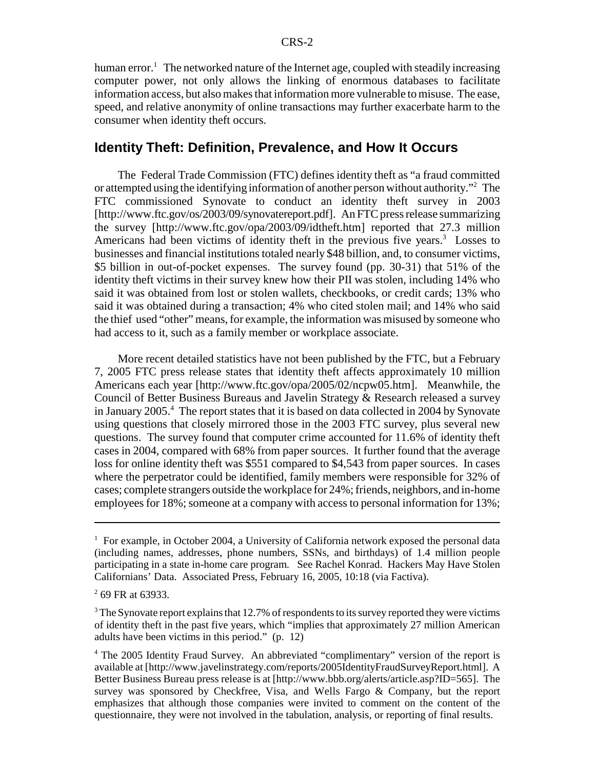human error.<sup>1</sup> The networked nature of the Internet age, coupled with steadily increasing computer power, not only allows the linking of enormous databases to facilitate information access, but also makes that information more vulnerable to misuse. The ease, speed, and relative anonymity of online transactions may further exacerbate harm to the consumer when identity theft occurs.

#### **Identity Theft: Definition, Prevalence, and How It Occurs**

The Federal Trade Commission (FTC) defines identity theft as "a fraud committed or attempted using the identifying information of another person without authority."<sup>2</sup> The FTC commissioned Synovate to conduct an identity theft survey in 2003 [http://www.ftc.gov/os/2003/09/synovatereport.pdf]. An FTC press release summarizing the survey [http://www.ftc.gov/opa/2003/09/idtheft.htm] reported that 27.3 million Americans had been victims of identity theft in the previous five years.<sup>3</sup> Losses to businesses and financial institutions totaled nearly \$48 billion, and, to consumer victims, \$5 billion in out-of-pocket expenses. The survey found (pp. 30-31) that 51% of the identity theft victims in their survey knew how their PII was stolen, including 14% who said it was obtained from lost or stolen wallets, checkbooks, or credit cards; 13% who said it was obtained during a transaction; 4% who cited stolen mail; and 14% who said the thief used "other" means, for example, the information was misused by someone who had access to it, such as a family member or workplace associate.

More recent detailed statistics have not been published by the FTC, but a February 7, 2005 FTC press release states that identity theft affects approximately 10 million Americans each year [http://www.ftc.gov/opa/2005/02/ncpw05.htm]. Meanwhile, the Council of Better Business Bureaus and Javelin Strategy & Research released a survey in January 2005.<sup>4</sup> The report states that it is based on data collected in 2004 by Synovate using questions that closely mirrored those in the 2003 FTC survey, plus several new questions. The survey found that computer crime accounted for 11.6% of identity theft cases in 2004, compared with 68% from paper sources. It further found that the average loss for online identity theft was \$551 compared to \$4,543 from paper sources. In cases where the perpetrator could be identified, family members were responsible for 32% of cases; complete strangers outside the workplace for 24%; friends, neighbors, and in-home employees for 18%; someone at a company with access to personal information for 13%;

<sup>&</sup>lt;sup>1</sup> For example, in October 2004, a University of California network exposed the personal data (including names, addresses, phone numbers, SSNs, and birthdays) of 1.4 million people participating in a state in-home care program. See Rachel Konrad. Hackers May Have Stolen Californians' Data. Associated Press, February 16, 2005, 10:18 (via Factiva).

<sup>2</sup> 69 FR at 63933.

 $3$  The Synovate report explains that 12.7% of respondents to its survey reported they were victims of identity theft in the past five years, which "implies that approximately 27 million American adults have been victims in this period." (p. 12)

<sup>&</sup>lt;sup>4</sup> The 2005 Identity Fraud Survey. An abbreviated "complimentary" version of the report is available at [http://www.javelinstrategy.com/reports/2005IdentityFraudSurveyReport.html]. A Better Business Bureau press release is at [http://www.bbb.org/alerts/article.asp?ID=565]. The survey was sponsored by Checkfree, Visa, and Wells Fargo & Company, but the report emphasizes that although those companies were invited to comment on the content of the questionnaire, they were not involved in the tabulation, analysis, or reporting of final results.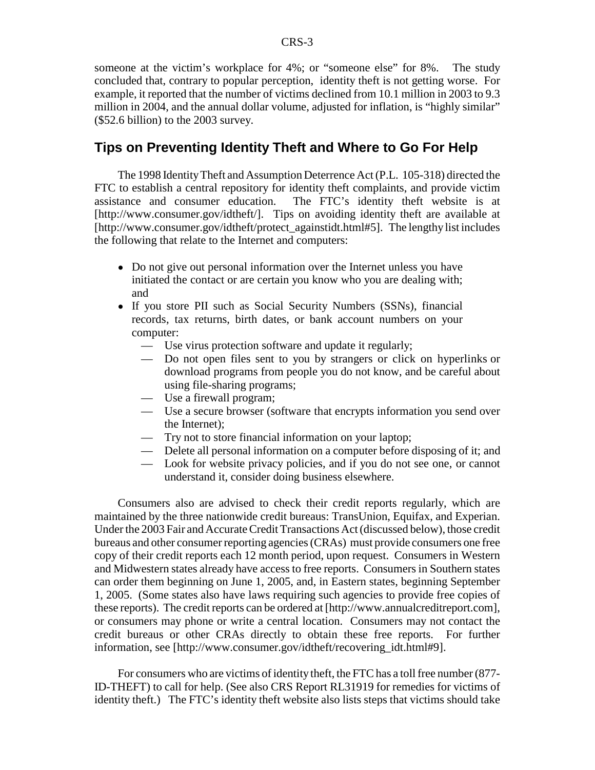someone at the victim's workplace for 4%; or "someone else" for 8%. The study concluded that, contrary to popular perception, identity theft is not getting worse. For example, it reported that the number of victims declined from 10.1 million in 2003 to 9.3 million in 2004, and the annual dollar volume, adjusted for inflation, is "highly similar" (\$52.6 billion) to the 2003 survey.

#### **Tips on Preventing Identity Theft and Where to Go For Help**

The 1998 Identity Theft and Assumption Deterrence Act (P.L. 105-318) directed the FTC to establish a central repository for identity theft complaints, and provide victim assistance and consumer education. The FTC's identity theft website is at [http://www.consumer.gov/idtheft/]. Tips on avoiding identity theft are available at [http://www.consumer.gov/idtheft/protect\_againstidt.html#5]. The lengthy list includes the following that relate to the Internet and computers:

- Do not give out personal information over the Internet unless you have initiated the contact or are certain you know who you are dealing with; and
- If you store PII such as Social Security Numbers (SSNs), financial records, tax returns, birth dates, or bank account numbers on your computer:
	- Use virus protection software and update it regularly;
	- Do not open files sent to you by strangers or click on hyperlinks or download programs from people you do not know, and be careful about using file-sharing programs;
	- Use a firewall program;
	- Use a secure browser (software that encrypts information you send over the Internet);
	- Try not to store financial information on your laptop;
	- Delete all personal information on a computer before disposing of it; and
	- Look for website privacy policies, and if you do not see one, or cannot understand it, consider doing business elsewhere.

Consumers also are advised to check their credit reports regularly, which are maintained by the three nationwide credit bureaus: TransUnion, Equifax, and Experian. Under the 2003 Fair and Accurate Credit Transactions Act (discussed below), those credit bureaus and other consumer reporting agencies (CRAs) must provide consumers one free copy of their credit reports each 12 month period, upon request. Consumers in Western and Midwestern states already have access to free reports. Consumers in Southern states can order them beginning on June 1, 2005, and, in Eastern states, beginning September 1, 2005. (Some states also have laws requiring such agencies to provide free copies of these reports). The credit reports can be ordered at [http://www.annualcreditreport.com], or consumers may phone or write a central location. Consumers may not contact the credit bureaus or other CRAs directly to obtain these free reports. For further information, see [http://www.consumer.gov/idtheft/recovering\_idt.html#9].

For consumers who are victims of identity theft, the FTC has a toll free number (877- ID-THEFT) to call for help. (See also CRS Report RL31919 for remedies for victims of identity theft.) The FTC's identity theft website also lists steps that victims should take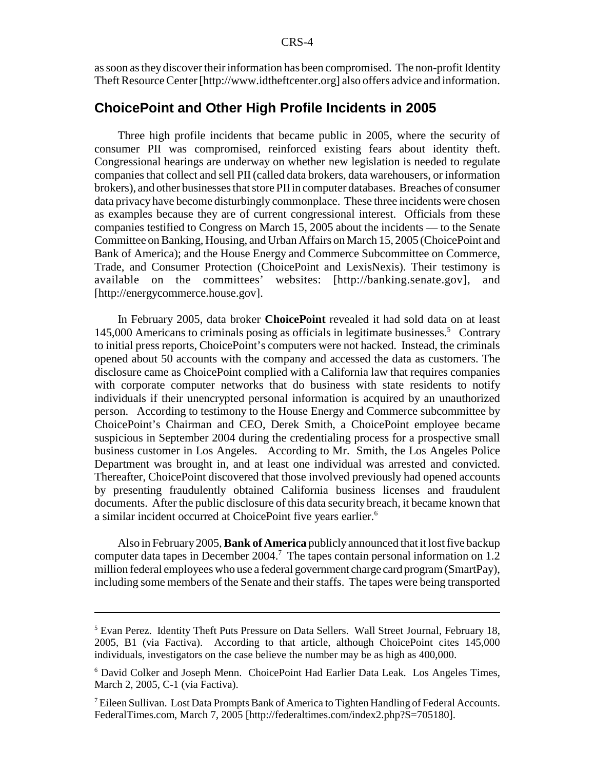as soon as they discover their information has been compromised. The non-profit Identity Theft Resource Center [http://www.idtheftcenter.org] also offers advice and information.

#### **ChoicePoint and Other High Profile Incidents in 2005**

Three high profile incidents that became public in 2005, where the security of consumer PII was compromised, reinforced existing fears about identity theft. Congressional hearings are underway on whether new legislation is needed to regulate companies that collect and sell PII (called data brokers, data warehousers, or information brokers), and other businesses that store PII in computer databases. Breaches of consumer data privacy have become disturbingly commonplace. These three incidents were chosen as examples because they are of current congressional interest. Officials from these companies testified to Congress on March 15, 2005 about the incidents — to the Senate Committee on Banking, Housing, and Urban Affairs on March 15, 2005 (ChoicePoint and Bank of America); and the House Energy and Commerce Subcommittee on Commerce, Trade, and Consumer Protection (ChoicePoint and LexisNexis). Their testimony is available on the committees' websites: [http://banking.senate.gov], and [http://energycommerce.house.gov].

In February 2005, data broker **ChoicePoint** revealed it had sold data on at least 145,000 Americans to criminals posing as officials in legitimate businesses.<sup>5</sup> Contrary to initial press reports, ChoicePoint's computers were not hacked. Instead, the criminals opened about 50 accounts with the company and accessed the data as customers. The disclosure came as ChoicePoint complied with a California law that requires companies with corporate computer networks that do business with state residents to notify individuals if their unencrypted personal information is acquired by an unauthorized person. According to testimony to the House Energy and Commerce subcommittee by ChoicePoint's Chairman and CEO, Derek Smith, a ChoicePoint employee became suspicious in September 2004 during the credentialing process for a prospective small business customer in Los Angeles. According to Mr. Smith, the Los Angeles Police Department was brought in, and at least one individual was arrested and convicted. Thereafter, ChoicePoint discovered that those involved previously had opened accounts by presenting fraudulently obtained California business licenses and fraudulent documents. After the public disclosure of this data security breach, it became known that a similar incident occurred at ChoicePoint five years earlier.<sup>6</sup>

Also in February 2005, **Bank of America** publicly announced that it lost five backup computer data tapes in December 2004.<sup>7</sup> The tapes contain personal information on 1.2 million federal employees who use a federal government charge card program (SmartPay), including some members of the Senate and their staffs. The tapes were being transported

<sup>&</sup>lt;sup>5</sup> Evan Perez. Identity Theft Puts Pressure on Data Sellers. Wall Street Journal, February 18, 2005, B1 (via Factiva). According to that article, although ChoicePoint cites 145,000 individuals, investigators on the case believe the number may be as high as 400,000.

<sup>&</sup>lt;sup>6</sup> David Colker and Joseph Menn. ChoicePoint Had Earlier Data Leak. Los Angeles Times, March 2, 2005, C-1 (via Factiva).

<sup>&</sup>lt;sup>7</sup> Eileen Sullivan. Lost Data Prompts Bank of America to Tighten Handling of Federal Accounts. FederalTimes.com, March 7, 2005 [http://federaltimes.com/index2.php?S=705180].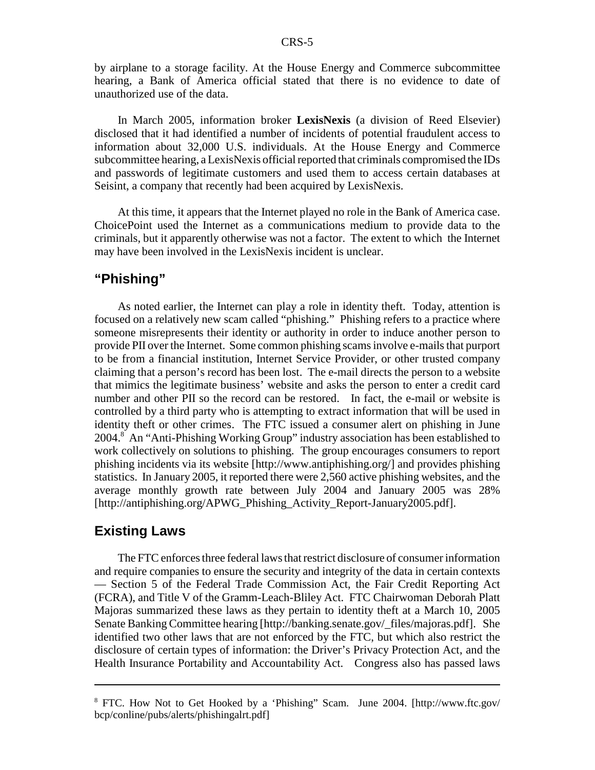by airplane to a storage facility. At the House Energy and Commerce subcommittee hearing, a Bank of America official stated that there is no evidence to date of unauthorized use of the data.

In March 2005, information broker **LexisNexis** (a division of Reed Elsevier) disclosed that it had identified a number of incidents of potential fraudulent access to information about 32,000 U.S. individuals. At the House Energy and Commerce subcommittee hearing, a LexisNexis official reported that criminals compromised the IDs and passwords of legitimate customers and used them to access certain databases at Seisint, a company that recently had been acquired by LexisNexis.

At this time, it appears that the Internet played no role in the Bank of America case. ChoicePoint used the Internet as a communications medium to provide data to the criminals, but it apparently otherwise was not a factor. The extent to which the Internet may have been involved in the LexisNexis incident is unclear.

#### **"Phishing"**

As noted earlier, the Internet can play a role in identity theft. Today, attention is focused on a relatively new scam called "phishing." Phishing refers to a practice where someone misrepresents their identity or authority in order to induce another person to provide PII over the Internet. Some common phishing scams involve e-mails that purport to be from a financial institution, Internet Service Provider, or other trusted company claiming that a person's record has been lost. The e-mail directs the person to a website that mimics the legitimate business' website and asks the person to enter a credit card number and other PII so the record can be restored. In fact, the e-mail or website is controlled by a third party who is attempting to extract information that will be used in identity theft or other crimes. The FTC issued a consumer alert on phishing in June 2004.8 An "Anti-Phishing Working Group" industry association has been established to work collectively on solutions to phishing. The group encourages consumers to report phishing incidents via its website [http://www.antiphishing.org/] and provides phishing statistics. In January 2005, it reported there were 2,560 active phishing websites, and the average monthly growth rate between July 2004 and January 2005 was 28% [http://antiphishing.org/APWG\_Phishing\_Activity\_Report-January2005.pdf].

#### **Existing Laws**

The FTC enforces three federal laws that restrict disclosure of consumer information and require companies to ensure the security and integrity of the data in certain contexts — Section 5 of the Federal Trade Commission Act, the Fair Credit Reporting Act (FCRA), and Title V of the Gramm-Leach-Bliley Act. FTC Chairwoman Deborah Platt Majoras summarized these laws as they pertain to identity theft at a March 10, 2005 Senate Banking Committee hearing [http://banking.senate.gov/\_files/majoras.pdf]. She identified two other laws that are not enforced by the FTC, but which also restrict the disclosure of certain types of information: the Driver's Privacy Protection Act, and the Health Insurance Portability and Accountability Act. Congress also has passed laws

<sup>&</sup>lt;sup>8</sup> FTC. How Not to Get Hooked by a 'Phishing'' Scam. June 2004. [http://www.ftc.gov/ bcp/conline/pubs/alerts/phishingalrt.pdf]